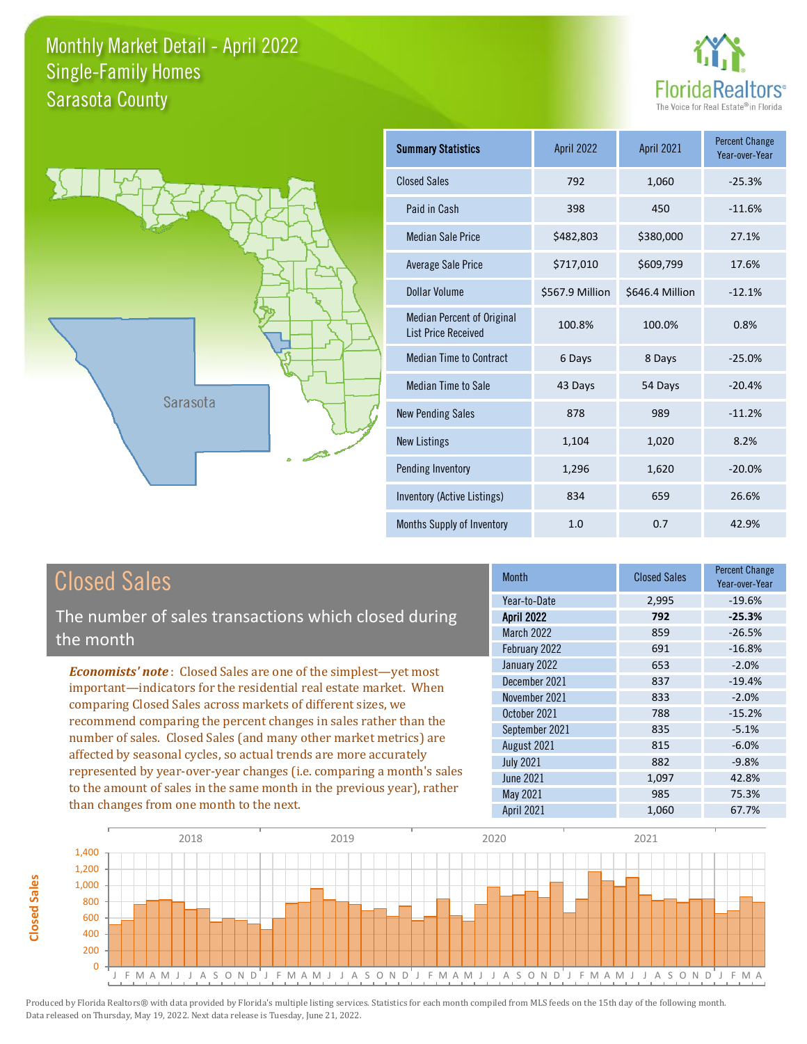



| <b>Summary Statistics</b>                                       | <b>April 2022</b> | April 2021      | <b>Percent Change</b><br>Year-over-Year |
|-----------------------------------------------------------------|-------------------|-----------------|-----------------------------------------|
| <b>Closed Sales</b>                                             | 792               | 1,060           | $-25.3%$                                |
| Paid in Cash                                                    | 398               | 450             | $-11.6%$                                |
| <b>Median Sale Price</b>                                        | \$482,803         | \$380,000       | 27.1%                                   |
| Average Sale Price                                              | \$717,010         | \$609,799       | 17.6%                                   |
| Dollar Volume                                                   | \$567.9 Million   | \$646.4 Million | $-12.1%$                                |
| <b>Median Percent of Original</b><br><b>List Price Received</b> | 100.8%            | 100.0%          | 0.8%                                    |
| <b>Median Time to Contract</b>                                  | 6 Days            | 8 Days          | $-25.0%$                                |
| Median Time to Sale                                             | 43 Days           | 54 Days         | $-20.4%$                                |
| <b>New Pending Sales</b>                                        | 878               | 989             | $-11.2%$                                |
| <b>New Listings</b>                                             | 1,104             | 1,020           | 8.2%                                    |
| Pending Inventory                                               | 1,296             | 1,620           | $-20.0%$                                |
| Inventory (Active Listings)                                     | 834               | 659             | 26.6%                                   |
| Months Supply of Inventory                                      | 1.0               | 0.7             | 42.9%                                   |

# Closed Sales

The number of sales transactions which closed during the month

*Economists' note* : Closed Sales are one of the simplest—yet most important—indicators for the residential real estate market. When comparing Closed Sales across markets of different sizes, we recommend comparing the percent changes in sales rather than the number of sales. Closed Sales (and many other market metrics) are affected by seasonal cycles, so actual trends are more accurately represented by year-over-year changes (i.e. comparing a month's sales to the amount of sales in the same month in the previous year), rather than changes from one month to the next.

| <b>Month</b>      | <b>Closed Sales</b> | <b>Percent Change</b><br>Year-over-Year |
|-------------------|---------------------|-----------------------------------------|
| Year-to-Date      | 2,995               | $-19.6%$                                |
| April 2022        | 792                 | $-25.3%$                                |
| March 2022        | 859                 | $-26.5%$                                |
| February 2022     | 691                 | $-16.8%$                                |
| January 2022      | 653                 | $-2.0%$                                 |
| December 2021     | 837                 | $-19.4%$                                |
| November 2021     | 833                 | $-2.0%$                                 |
| October 2021      | 788                 | $-15.2%$                                |
| September 2021    | 835                 | $-5.1%$                                 |
| August 2021       | 815                 | $-6.0%$                                 |
| <b>July 2021</b>  | 882                 | $-9.8%$                                 |
| <b>June 2021</b>  | 1,097               | 42.8%                                   |
| May 2021          | 985                 | 75.3%                                   |
| <b>April 2021</b> | 1,060               | 67.7%                                   |



**Closed Sales**

**Closed Sales**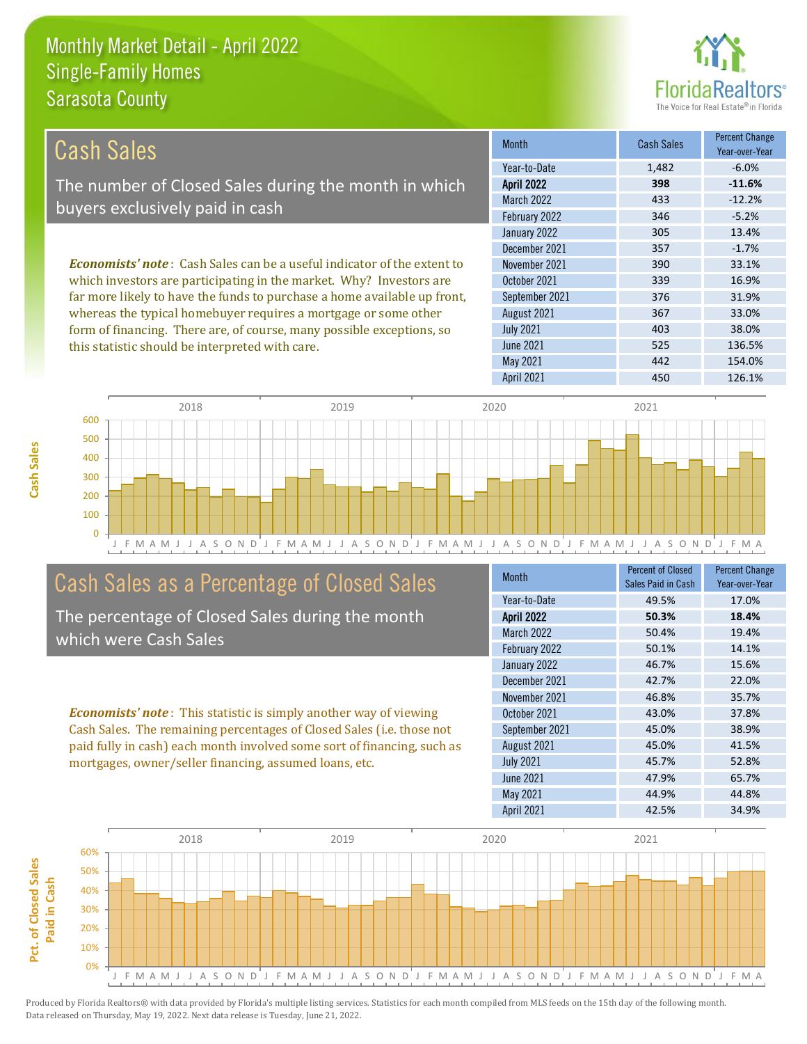this statistic should be interpreted with care.



525 136.5%

| Cash Sales                                                                      | <b>Month</b>      | <b>Cash Sales</b> | <b>Percent Change</b><br>Year-over-Year |
|---------------------------------------------------------------------------------|-------------------|-------------------|-----------------------------------------|
|                                                                                 | Year-to-Date      | 1,482             | $-6.0\%$                                |
| The number of Closed Sales during the month in which                            | <b>April 2022</b> | 398               | $-11.6%$                                |
| buyers exclusively paid in cash                                                 | <b>March 2022</b> | 433               | $-12.2%$                                |
|                                                                                 | February 2022     | 346               | $-5.2%$                                 |
|                                                                                 | January 2022      | 305               | 13.4%                                   |
|                                                                                 | December 2021     | 357               | $-1.7%$                                 |
| <b>Economists' note</b> : Cash Sales can be a useful indicator of the extent to | November 2021     | 390               | 33.1%                                   |
| which investors are participating in the market. Why? Investors are             | October 2021      | 339               | 16.9%                                   |
| far more likely to have the funds to purchase a home available up front,        | September 2021    | 376               | 31.9%                                   |
| whereas the typical homebuyer requires a mortgage or some other                 | August 2021       | 367               | 33.0%                                   |
| form of financing. There are, of course, many possible exceptions, so           | <b>July 2021</b>  | 403               | 38.0%                                   |



### Cash Sales as a Percentage of Closed Sales

The percentage of Closed Sales during the month which were Cash Sales

*Economists' note* : This statistic is simply another way of viewing Cash Sales. The remaining percentages of Closed Sales (i.e. those not paid fully in cash) each month involved some sort of financing, such as mortgages, owner/seller financing, assumed loans, etc.

| Month             | <b>Percent of Closed</b><br>Sales Paid in Cash | <b>Percent Change</b><br>Year-over-Year |
|-------------------|------------------------------------------------|-----------------------------------------|
| Year-to-Date      | 49.5%                                          | 17.0%                                   |
| <b>April 2022</b> | 50.3%                                          | 18.4%                                   |
| <b>March 2022</b> | 50.4%                                          | 19.4%                                   |
| February 2022     | 50.1%                                          | 14.1%                                   |
| January 2022      | 46.7%                                          | 15.6%                                   |
| December 2021     | 42.7%                                          | 22.0%                                   |
| November 2021     | 46.8%                                          | 35.7%                                   |
| October 2021      | 43.0%                                          | 37.8%                                   |
| September 2021    | 45.0%                                          | 38.9%                                   |
| August 2021       | 45.0%                                          | 41.5%                                   |
| <b>July 2021</b>  | 45.7%                                          | 52.8%                                   |
| <b>June 2021</b>  | 47.9%                                          | 65.7%                                   |
| May 2021          | 44.9%                                          | 44.8%                                   |
| <b>April 2021</b> | 42.5%                                          | 34.9%                                   |

May 2021 **442** 154.0%

June 2021



Pct. of Closed Sales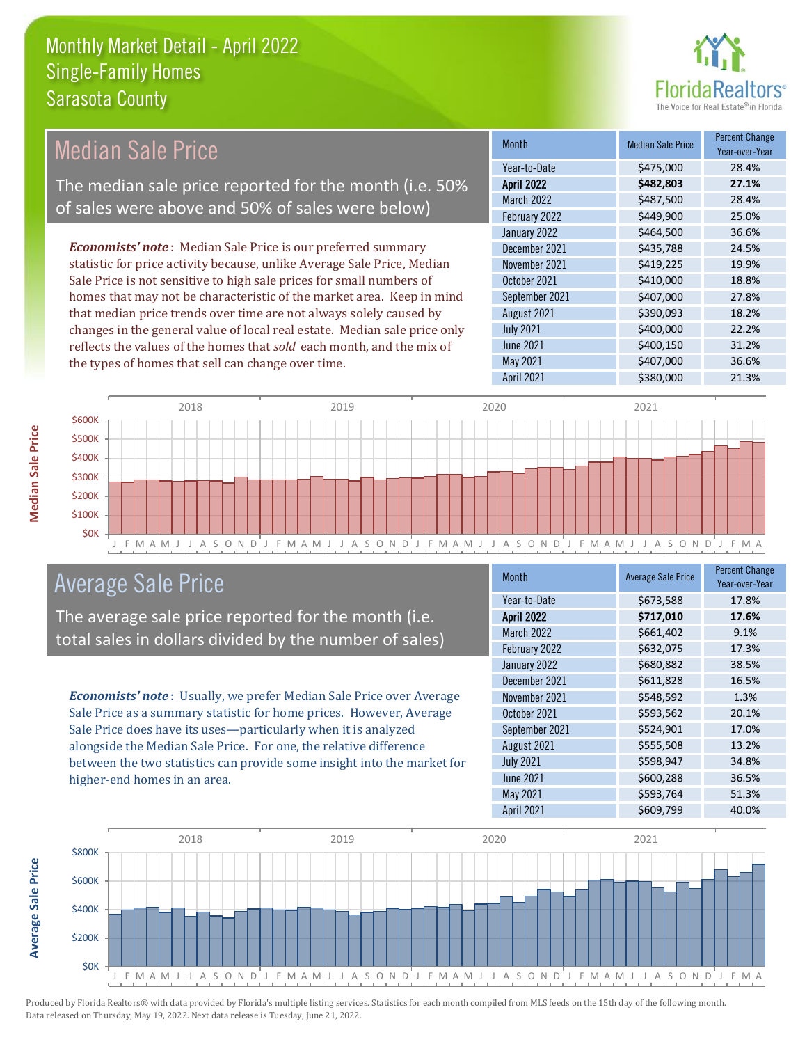

| Year-to-Date<br>\$475,000<br>28.4%<br>\$482,803<br>The median sale price reported for the month (i.e. 50%<br><b>April 2022</b><br>27.1%<br>\$487,500<br><b>March 2022</b><br>28.4%<br>of sales were above and 50% of sales were below)<br>February 2022<br>\$449,900<br>25.0%<br>January 2022<br>\$464,500<br>36.6%<br><b>Economists' note:</b> Median Sale Price is our preferred summary<br>\$435,788<br>December 2021<br>24.5%<br>statistic for price activity because, unlike Average Sale Price, Median<br>November 2021<br>\$419,225<br>19.9%<br>Sale Price is not sensitive to high sale prices for small numbers of<br>October 2021<br>\$410,000<br>18.8%<br>homes that may not be characteristic of the market area. Keep in mind<br>\$407,000<br>September 2021<br>27.8%<br>that median price trends over time are not always solely caused by<br>\$390,093<br>18.2%<br>August 2021<br>\$400,000<br>changes in the general value of local real estate. Median sale price only<br><b>July 2021</b><br>22.2%<br>\$400,150<br>31.2%<br>June 2021<br>reflects the values of the homes that sold each month, and the mix of<br>May 2021<br>\$407,000<br>36.6%<br>the types of homes that sell can change over time.<br>\$380,000<br><b>April 2021</b><br>21.3% | <b>Median Sale Price</b> | <b>Month</b> | <b>Median Sale Price</b> | <b>Percent Change</b><br>Year-over-Year |
|---------------------------------------------------------------------------------------------------------------------------------------------------------------------------------------------------------------------------------------------------------------------------------------------------------------------------------------------------------------------------------------------------------------------------------------------------------------------------------------------------------------------------------------------------------------------------------------------------------------------------------------------------------------------------------------------------------------------------------------------------------------------------------------------------------------------------------------------------------------------------------------------------------------------------------------------------------------------------------------------------------------------------------------------------------------------------------------------------------------------------------------------------------------------------------------------------------------------------------------------------------------------|--------------------------|--------------|--------------------------|-----------------------------------------|
|                                                                                                                                                                                                                                                                                                                                                                                                                                                                                                                                                                                                                                                                                                                                                                                                                                                                                                                                                                                                                                                                                                                                                                                                                                                                     |                          |              |                          |                                         |
|                                                                                                                                                                                                                                                                                                                                                                                                                                                                                                                                                                                                                                                                                                                                                                                                                                                                                                                                                                                                                                                                                                                                                                                                                                                                     |                          |              |                          |                                         |
|                                                                                                                                                                                                                                                                                                                                                                                                                                                                                                                                                                                                                                                                                                                                                                                                                                                                                                                                                                                                                                                                                                                                                                                                                                                                     |                          |              |                          |                                         |
|                                                                                                                                                                                                                                                                                                                                                                                                                                                                                                                                                                                                                                                                                                                                                                                                                                                                                                                                                                                                                                                                                                                                                                                                                                                                     |                          |              |                          |                                         |
|                                                                                                                                                                                                                                                                                                                                                                                                                                                                                                                                                                                                                                                                                                                                                                                                                                                                                                                                                                                                                                                                                                                                                                                                                                                                     |                          |              |                          |                                         |
|                                                                                                                                                                                                                                                                                                                                                                                                                                                                                                                                                                                                                                                                                                                                                                                                                                                                                                                                                                                                                                                                                                                                                                                                                                                                     |                          |              |                          |                                         |
|                                                                                                                                                                                                                                                                                                                                                                                                                                                                                                                                                                                                                                                                                                                                                                                                                                                                                                                                                                                                                                                                                                                                                                                                                                                                     |                          |              |                          |                                         |
|                                                                                                                                                                                                                                                                                                                                                                                                                                                                                                                                                                                                                                                                                                                                                                                                                                                                                                                                                                                                                                                                                                                                                                                                                                                                     |                          |              |                          |                                         |
|                                                                                                                                                                                                                                                                                                                                                                                                                                                                                                                                                                                                                                                                                                                                                                                                                                                                                                                                                                                                                                                                                                                                                                                                                                                                     |                          |              |                          |                                         |
|                                                                                                                                                                                                                                                                                                                                                                                                                                                                                                                                                                                                                                                                                                                                                                                                                                                                                                                                                                                                                                                                                                                                                                                                                                                                     |                          |              |                          |                                         |
|                                                                                                                                                                                                                                                                                                                                                                                                                                                                                                                                                                                                                                                                                                                                                                                                                                                                                                                                                                                                                                                                                                                                                                                                                                                                     |                          |              |                          |                                         |
|                                                                                                                                                                                                                                                                                                                                                                                                                                                                                                                                                                                                                                                                                                                                                                                                                                                                                                                                                                                                                                                                                                                                                                                                                                                                     |                          |              |                          |                                         |
|                                                                                                                                                                                                                                                                                                                                                                                                                                                                                                                                                                                                                                                                                                                                                                                                                                                                                                                                                                                                                                                                                                                                                                                                                                                                     |                          |              |                          |                                         |
|                                                                                                                                                                                                                                                                                                                                                                                                                                                                                                                                                                                                                                                                                                                                                                                                                                                                                                                                                                                                                                                                                                                                                                                                                                                                     |                          |              |                          |                                         |



#### Average Sale Price

The average sale price reported for the month (i.e. total sales in dollars divided by the number of sales)

*Economists' note* : Usually, we prefer Median Sale Price over Average Sale Price as a summary statistic for home prices. However, Average Sale Price does have its uses—particularly when it is analyzed alongside the Median Sale Price. For one, the relative difference between the two statistics can provide some insight into the market for higher-end homes in an area.

| <b>Month</b>      | <b>Average Sale Price</b> | <b>Percent Change</b><br>Year-over-Year |
|-------------------|---------------------------|-----------------------------------------|
| Year-to-Date      | \$673,588                 | 17.8%                                   |
| <b>April 2022</b> | \$717,010                 | 17.6%                                   |
| <b>March 2022</b> | \$661,402                 | 9.1%                                    |
| February 2022     | \$632,075                 | 17.3%                                   |
| January 2022      | \$680,882                 | 38.5%                                   |
| December 2021     | \$611,828                 | 16.5%                                   |
| November 2021     | \$548,592                 | 1.3%                                    |
| October 2021      | \$593,562                 | 20.1%                                   |
| September 2021    | \$524,901                 | 17.0%                                   |
| August 2021       | \$555,508                 | 13.2%                                   |
| <b>July 2021</b>  | \$598,947                 | 34.8%                                   |
| <b>June 2021</b>  | \$600,288                 | 36.5%                                   |
| May 2021          | \$593,764                 | 51.3%                                   |
| April 2021        | \$609,799                 | 40.0%                                   |



Produced by Florida Realtors® with data provided by Florida's multiple listing services. Statistics for each month compiled from MLS feeds on the 15th day of the following month. Data released on Thursday, May 19, 2022. Next data release is Tuesday, June 21, 2022.

**Average Sale Price**

**Average Sale Price**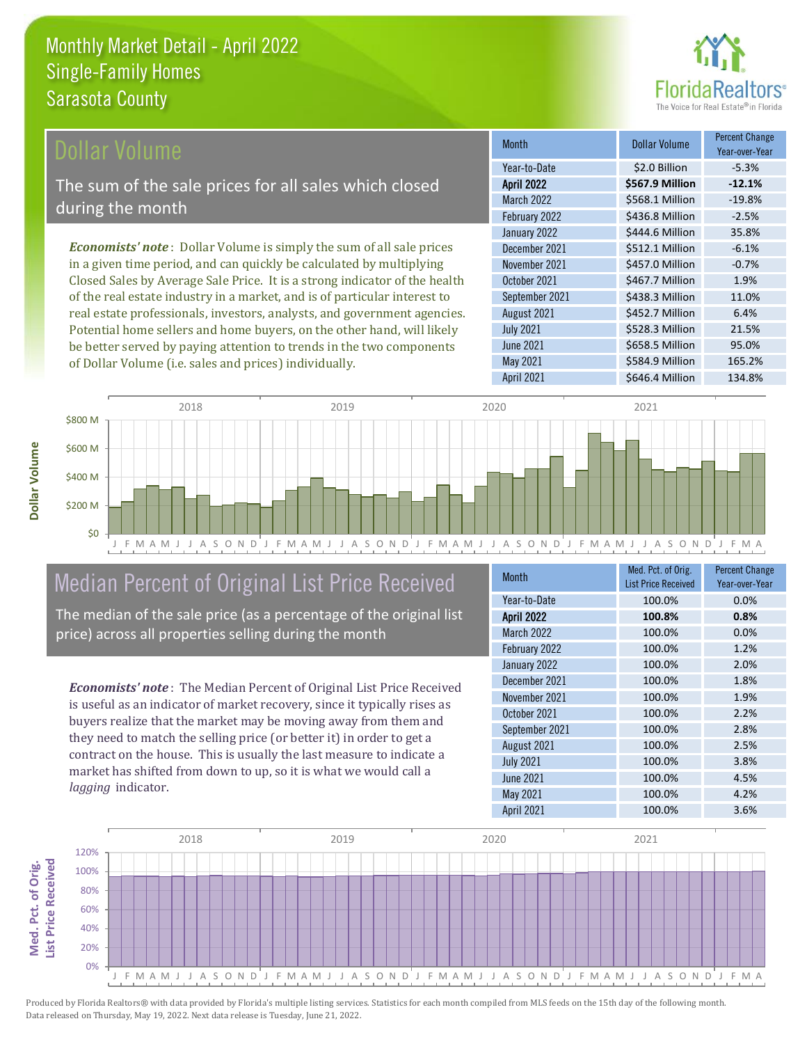

#### **Ollar Volume**

The sum of the sale prices for all sales which closed during the month

*Economists' note* : Dollar Volume is simply the sum of all sale prices in a given time period, and can quickly be calculated by multiplying Closed Sales by Average Sale Price. It is a strong indicator of the health of the real estate industry in a market, and is of particular interest to real estate professionals, investors, analysts, and government agencies. Potential home sellers and home buyers, on the other hand, will likely be better served by paying attention to trends in the two components of Dollar Volume (i.e. sales and prices) individually.

| <b>Month</b>      | Dollar Volume   | <b>Percent Change</b><br>Year-over-Year |
|-------------------|-----------------|-----------------------------------------|
| Year-to-Date      | \$2.0 Billion   | $-5.3%$                                 |
| <b>April 2022</b> | \$567.9 Million | $-12.1%$                                |
| <b>March 2022</b> | \$568.1 Million | $-19.8%$                                |
| February 2022     | \$436.8 Million | $-2.5%$                                 |
| January 2022      | \$444.6 Million | 35.8%                                   |
| December 2021     | \$512.1 Million | $-6.1%$                                 |
| November 2021     | \$457.0 Million | $-0.7%$                                 |
| October 2021      | \$467.7 Million | 1.9%                                    |
| September 2021    | \$438.3 Million | 11.0%                                   |
| August 2021       | \$452.7 Million | 6.4%                                    |
| <b>July 2021</b>  | \$528.3 Million | 21.5%                                   |
| <b>June 2021</b>  | \$658.5 Million | 95.0%                                   |
| May 2021          | \$584.9 Million | 165.2%                                  |
| April 2021        | \$646.4 Million | 134.8%                                  |



### Median Percent of Original List Price Received

The median of the sale price (as a percentage of the original list price) across all properties selling during the month

*Economists' note* : The Median Percent of Original List Price Received is useful as an indicator of market recovery, since it typically rises as buyers realize that the market may be moving away from them and they need to match the selling price (or better it) in order to get a contract on the house. This is usually the last measure to indicate a market has shifted from down to up, so it is what we would call a *lagging* indicator.

| <b>Month</b>      | Med. Pct. of Orig.<br><b>List Price Received</b> | <b>Percent Change</b><br>Year-over-Year |
|-------------------|--------------------------------------------------|-----------------------------------------|
| Year-to-Date      | 100.0%                                           | 0.0%                                    |
| <b>April 2022</b> | 100.8%                                           | 0.8%                                    |
| March 2022        | 100.0%                                           | 0.0%                                    |
| February 2022     | 100.0%                                           | 1.2%                                    |
| January 2022      | 100.0%                                           | 2.0%                                    |
| December 2021     | 100.0%                                           | 1.8%                                    |
| November 2021     | 100.0%                                           | 1.9%                                    |
| October 2021      | 100.0%                                           | 2.2%                                    |
| September 2021    | 100.0%                                           | 2.8%                                    |
| August 2021       | 100.0%                                           | 2.5%                                    |
| <b>July 2021</b>  | 100.0%                                           | 3.8%                                    |
| <b>June 2021</b>  | 100.0%                                           | 4.5%                                    |
| May 2021          | 100.0%                                           | 4.2%                                    |
| April 2021        | 100.0%                                           | 3.6%                                    |

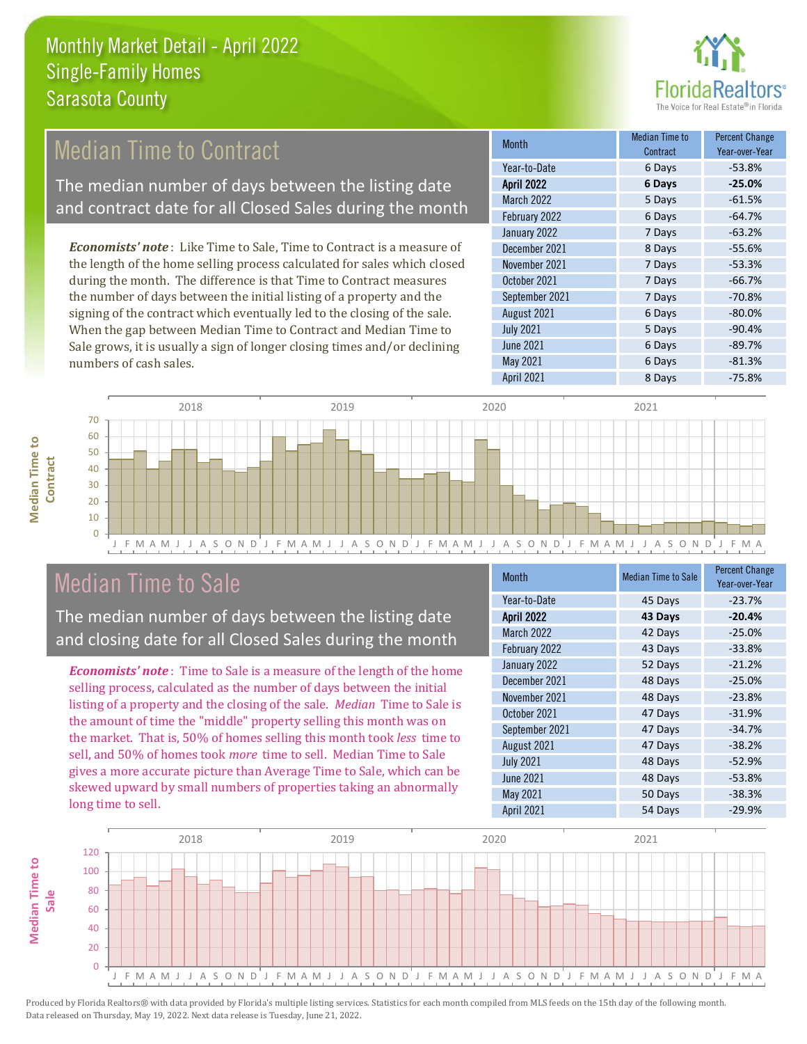

### Median Time to Contract

The median number of days between the listing date and contract date for all Closed Sales during the month

*Economists' note* : Like Time to Sale, Time to Contract is a measure of the length of the home selling process calculated for sales which closed during the month. The difference is that Time to Contract measures the number of days between the initial listing of a property and the signing of the contract which eventually led to the closing of the sale. When the gap between Median Time to Contract and Median Time to Sale grows, it is usually a sign of longer closing times and/or declining numbers of cash sales.

| <b>Month</b>      | <b>Median Time to</b><br>Contract | <b>Percent Change</b><br>Year-over-Year |
|-------------------|-----------------------------------|-----------------------------------------|
| Year-to-Date      | 6 Days                            | $-53.8%$                                |
| <b>April 2022</b> | 6 Days                            | $-25.0%$                                |
| March 2022        | 5 Days                            | $-61.5%$                                |
| February 2022     | 6 Days                            | $-64.7%$                                |
| January 2022      | 7 Days                            | $-63.2%$                                |
| December 2021     | 8 Days                            | $-55.6%$                                |
| November 2021     | 7 Days                            | $-53.3%$                                |
| October 2021      | 7 Days                            | $-66.7%$                                |
| September 2021    | 7 Days                            | $-70.8%$                                |
| August 2021       | 6 Days                            | $-80.0%$                                |
| <b>July 2021</b>  | 5 Days                            | $-90.4%$                                |
| <b>June 2021</b>  | 6 Days                            | $-89.7%$                                |
| May 2021          | 6 Days                            | $-81.3%$                                |
| April 2021        | 8 Days                            | $-75.8%$                                |



#### Median Time to Sale

**Median Time to** 

**Median Time to** 

The median number of days between the listing date and closing date for all Closed Sales during the month

*Economists' note* : Time to Sale is a measure of the length of the home selling process, calculated as the number of days between the initial listing of a property and the closing of the sale. *Median* Time to Sale is the amount of time the "middle" property selling this month was on the market. That is, 50% of homes selling this month took *less* time to sell, and 50% of homes took *more* time to sell. Median Time to Sale gives a more accurate picture than Average Time to Sale, which can be skewed upward by small numbers of properties taking an abnormally long time to sell.

| <b>Month</b>      | <b>Median Time to Sale</b> | <b>Percent Change</b><br>Year-over-Year |
|-------------------|----------------------------|-----------------------------------------|
| Year-to-Date      | 45 Days                    | $-23.7%$                                |
| <b>April 2022</b> | 43 Days                    | $-20.4%$                                |
| March 2022        | 42 Days                    | $-25.0%$                                |
| February 2022     | 43 Days                    | $-33.8%$                                |
| January 2022      | 52 Days                    | $-21.2%$                                |
| December 2021     | 48 Days                    | $-25.0%$                                |
| November 2021     | 48 Days                    | $-23.8%$                                |
| October 2021      | 47 Days                    | $-31.9%$                                |
| September 2021    | 47 Days                    | $-34.7%$                                |
| August 2021       | 47 Days                    | $-38.2%$                                |
| <b>July 2021</b>  | 48 Days                    | $-52.9%$                                |
| <b>June 2021</b>  | 48 Days                    | $-53.8%$                                |
| May 2021          | 50 Days                    | $-38.3%$                                |
| April 2021        | 54 Days                    | $-29.9%$                                |

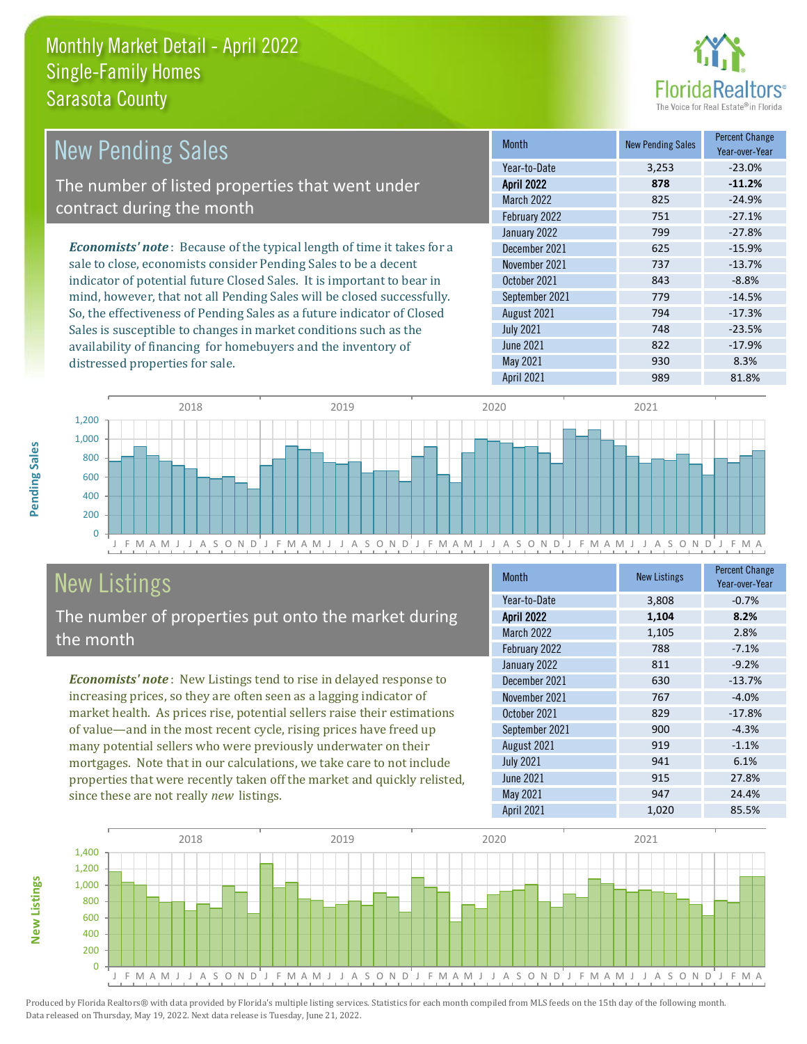

| New Pending Sales                                                             | <b>Month</b>      | <b>New Pending Sales</b> | <b>Percent Change</b><br>Year-over-Year |
|-------------------------------------------------------------------------------|-------------------|--------------------------|-----------------------------------------|
|                                                                               | Year-to-Date      | 3,253                    | $-23.0%$                                |
| The number of listed properties that went under                               | <b>April 2022</b> | 878                      | $-11.2%$                                |
| contract during the month                                                     | March 2022        | 825                      | $-24.9%$                                |
|                                                                               | February 2022     | 751                      | $-27.1%$                                |
|                                                                               | January 2022      | 799                      | $-27.8%$                                |
| <b>Economists' note:</b> Because of the typical length of time it takes for a | December 2021     | 625                      | $-15.9%$                                |
| sale to close, economists consider Pending Sales to be a decent               | November 2021     | 737                      | $-13.7%$                                |
| indicator of potential future Closed Sales. It is important to bear in        | October 2021      | 843                      | $-8.8%$                                 |
| mind, however, that not all Pending Sales will be closed successfully.        | September 2021    | 779                      | $-14.5%$                                |
| So, the effectiveness of Pending Sales as a future indicator of Closed        | August 2021       | 794                      | $-17.3%$                                |
| Sales is susceptible to changes in market conditions such as the              | <b>July 2021</b>  | 748                      | $-23.5%$                                |



# New Listings

distressed properties for sale.

The number of properties put onto the market during the month

availability of financing for homebuyers and the inventory of

*Economists' note* : New Listings tend to rise in delayed response to increasing prices, so they are often seen as a lagging indicator of market health. As prices rise, potential sellers raise their estimations of value—and in the most recent cycle, rising prices have freed up many potential sellers who were previously underwater on their mortgages. Note that in our calculations, we take care to not include properties that were recently taken off the market and quickly relisted, since these are not really *new* listings.

| <b>Month</b>      | <b>New Listings</b> | <b>Percent Change</b><br>Year-over-Year |
|-------------------|---------------------|-----------------------------------------|
| Year-to-Date      | 3,808               | $-0.7%$                                 |
| <b>April 2022</b> | 1,104               | 8.2%                                    |
| <b>March 2022</b> | 1,105               | 2.8%                                    |
| February 2022     | 788                 | $-7.1%$                                 |
| January 2022      | 811                 | $-9.2%$                                 |
| December 2021     | 630                 | $-13.7%$                                |
| November 2021     | 767                 | $-4.0%$                                 |
| October 2021      | 829                 | $-17.8%$                                |
| September 2021    | 900                 | $-4.3%$                                 |
| August 2021       | 919                 | $-1.1%$                                 |
| <b>July 2021</b>  | 941                 | 6.1%                                    |
| <b>June 2021</b>  | 915                 | 27.8%                                   |
| May 2021          | 947                 | 24.4%                                   |
| <b>April 2021</b> | 1,020               | 85.5%                                   |

April 2021 989 81.8%

June 2021 822 -17.9% May 2021 930 930 8.3%



Produced by Florida Realtors® with data provided by Florida's multiple listing services. Statistics for each month compiled from MLS feeds on the 15th day of the following month. Data released on Thursday, May 19, 2022. Next data release is Tuesday, June 21, 2022.

**New Listings**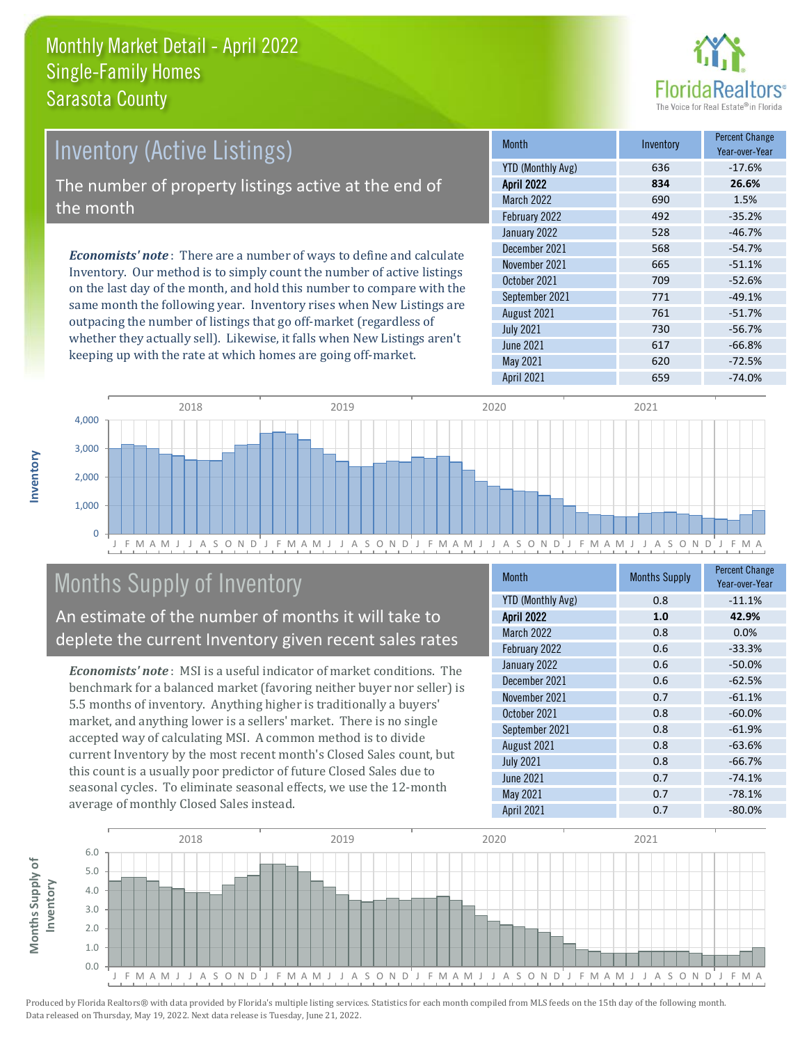

# *Economists' note* : There are a number of ways to define and calculate Inventory (Active Listings) The number of property listings active at the end of the month

Inventory. Our method is to simply count the number of active listings on the last day of the month, and hold this number to compare with the same month the following year. Inventory rises when New Listings are outpacing the number of listings that go off-market (regardless of whether they actually sell). Likewise, it falls when New Listings aren't keeping up with the rate at which homes are going off-market.

| <b>Month</b>             | Inventory | <b>Percent Change</b><br>Year-over-Year |
|--------------------------|-----------|-----------------------------------------|
| <b>YTD (Monthly Avg)</b> | 636       | $-17.6%$                                |
| <b>April 2022</b>        | 834       | 26.6%                                   |
| <b>March 2022</b>        | 690       | 1.5%                                    |
| February 2022            | 492       | $-35.2%$                                |
| January 2022             | 528       | $-46.7%$                                |
| December 2021            | 568       | $-54.7%$                                |
| November 2021            | 665       | $-51.1%$                                |
| October 2021             | 709       | $-52.6%$                                |
| September 2021           | 771       | $-49.1%$                                |
| August 2021              | 761       | $-51.7%$                                |
| <b>July 2021</b>         | 730       | $-56.7%$                                |
| <b>June 2021</b>         | 617       | $-66.8%$                                |
| May 2021                 | 620       | $-72.5%$                                |
| <b>April 2021</b>        | 659       | $-74.0%$                                |



# Months Supply of Inventory

An estimate of the number of months it will take to deplete the current Inventory given recent sales rates

*Economists' note* : MSI is a useful indicator of market conditions. The benchmark for a balanced market (favoring neither buyer nor seller) is 5.5 months of inventory. Anything higher is traditionally a buyers' market, and anything lower is a sellers' market. There is no single accepted way of calculating MSI. A common method is to divide current Inventory by the most recent month's Closed Sales count, but this count is a usually poor predictor of future Closed Sales due to seasonal cycles. To eliminate seasonal effects, we use the 12-month average of monthly Closed Sales instead.

| <b>Month</b>             | <b>Months Supply</b> | <b>Percent Change</b><br>Year-over-Year |
|--------------------------|----------------------|-----------------------------------------|
| <b>YTD (Monthly Avg)</b> | 0.8                  | $-11.1%$                                |
| <b>April 2022</b>        | 1.0                  | 42.9%                                   |
| <b>March 2022</b>        | 0.8                  | 0.0%                                    |
| February 2022            | 0.6                  | $-33.3%$                                |
| January 2022             | 0.6                  | $-50.0%$                                |
| December 2021            | 0.6                  | $-62.5%$                                |
| November 2021            | 0.7                  | $-61.1%$                                |
| October 2021             | 0.8                  | $-60.0%$                                |
| September 2021           | 0.8                  | $-61.9%$                                |
| August 2021              | 0.8                  | $-63.6%$                                |
| <b>July 2021</b>         | 0.8                  | $-66.7%$                                |
| <b>June 2021</b>         | 0.7                  | $-74.1%$                                |
| May 2021                 | 0.7                  | $-78.1%$                                |
| <b>April 2021</b>        | 0.7                  | $-80.0%$                                |

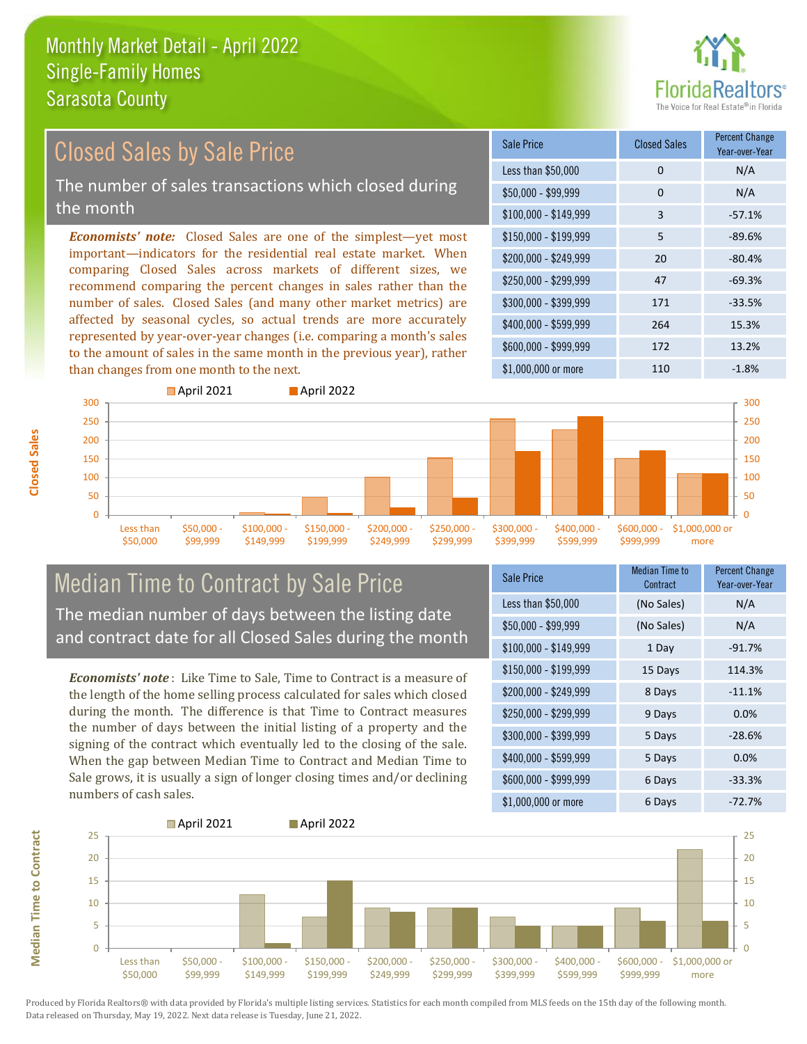

#### \$100,000 - \$149,999 3 -57.1% Sale Price Closed Sales Percent Change Year-over-Year Less than \$50,000 0 0 N/A \$50,000 - \$99,999 0 0 N/A \$150,000 - \$199,999 5 -89.6% \$200,000 - \$249,999 20 -80.4% \$400,000 - \$599,999 264 15.3% \$600,000 - \$999,999 172 13.2% *Economists' note:* Closed Sales are one of the simplest—yet most important—indicators for the residential real estate market. When comparing Closed Sales across markets of different sizes, we recommend comparing the percent changes in sales rather than the number of sales. Closed Sales (and many other market metrics) are affected by seasonal cycles, so actual trends are more accurately represented by year-over-year changes (i.e. comparing a month's sales to the amount of sales in the same month in the previous year), rather than changes from one month to the next. \$1,000,000 or more 110 110 -1.8%  $$250,000 - $299,999$  47 -69.3% \$300,000 - \$399,999 171 -33.5% **April 2021 April 2022** 300 Closed Sales by Sale Price The number of sales transactions which closed during the month



#### Median Time to Contract by Sale Price The median number of days between the listing date and contract date for all Closed Sales during the month

*Economists' note* : Like Time to Sale, Time to Contract is a measure of the length of the home selling process calculated for sales which closed during the month. The difference is that Time to Contract measures the number of days between the initial listing of a property and the signing of the contract which eventually led to the closing of the sale. When the gap between Median Time to Contract and Median Time to Sale grows, it is usually a sign of longer closing times and/or declining numbers of cash sales.

| <b>Sale Price</b>     | Median Time to<br>Contract | <b>Percent Change</b><br>Year-over-Year |
|-----------------------|----------------------------|-----------------------------------------|
| Less than \$50,000    | (No Sales)                 | N/A                                     |
| $$50,000 - $99,999$   | (No Sales)                 | N/A                                     |
| $$100,000 - $149,999$ | 1 Day                      | $-91.7%$                                |
| $$150,000 - $199,999$ | 15 Days                    | 114.3%                                  |
| \$200,000 - \$249,999 | 8 Days                     | $-11.1%$                                |
| \$250,000 - \$299,999 | 9 Days                     | 0.0%                                    |
| \$300,000 - \$399,999 | 5 Days                     | $-28.6%$                                |
| \$400,000 - \$599,999 | 5 Days                     | 0.0%                                    |
| \$600,000 - \$999,999 | 6 Days                     | $-33.3%$                                |
| \$1,000,000 or more   | 6 Days                     | $-72.7%$                                |



Produced by Florida Realtors® with data provided by Florida's multiple listing services. Statistics for each month compiled from MLS feeds on the 15th day of the following month. Data released on Thursday, May 19, 2022. Next data release is Tuesday, June 21, 2022.

**Median Time to Contract**

**Median Time to Contract**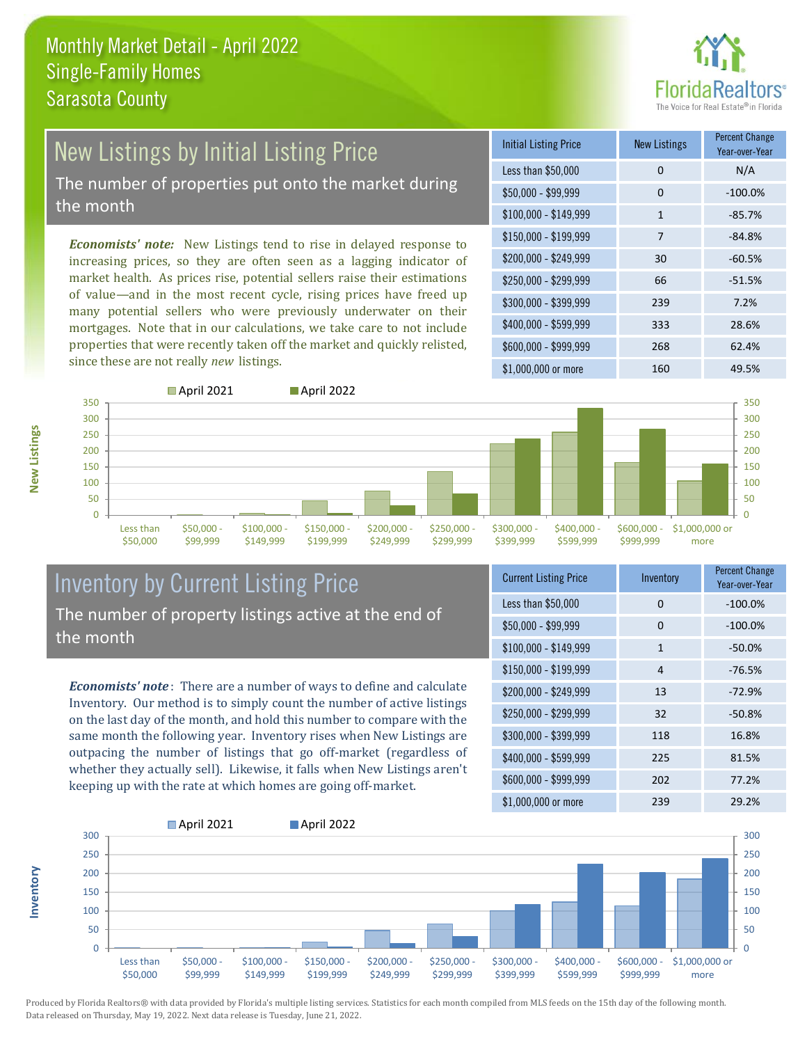

# New Listings by Initial Listing Price

The number of properties put onto the market during the month

*Economists' note:* New Listings tend to rise in delayed response to increasing prices, so they are often seen as a lagging indicator of market health. As prices rise, potential sellers raise their estimations of value—and in the most recent cycle, rising prices have freed up many potential sellers who were previously underwater on their mortgages. Note that in our calculations, we take care to not include properties that were recently taken off the market and quickly relisted, since these are not really *new* listings.

| <b>Initial Listing Price</b> | <b>New Listings</b> | <b>Percent Change</b><br>Year-over-Year |
|------------------------------|---------------------|-----------------------------------------|
| Less than \$50,000           | 0                   | N/A                                     |
| $$50,000 - $99,999$          | 0                   | $-100.0%$                               |
| \$100,000 - \$149,999        | $\mathbf{1}$        | $-85.7%$                                |
| $$150,000 - $199,999$        | 7                   | $-84.8%$                                |
| \$200,000 - \$249,999        | 30                  | $-60.5%$                                |
| \$250,000 - \$299,999        | 66                  | $-51.5%$                                |
| \$300,000 - \$399,999        | 239                 | 7.2%                                    |
| \$400,000 - \$599,999        | 333                 | 28.6%                                   |
| \$600,000 - \$999,999        | 268                 | 62.4%                                   |
| \$1,000,000 or more          | 160                 | 49.5%                                   |



**Inventory**



#### Inventory by Current Listing Price The number of property listings active at the end of the month

*Economists' note* : There are a number of ways to define and calculate Inventory. Our method is to simply count the number of active listings on the last day of the month, and hold this number to compare with the same month the following year. Inventory rises when New Listings are outpacing the number of listings that go off-market (regardless of whether they actually sell). Likewise, it falls when New Listings aren't keeping up with the rate at which homes are going off-market.

| <b>Current Listing Price</b> | Inventory    | <b>Percent Change</b><br>Year-over-Year |
|------------------------------|--------------|-----------------------------------------|
| Less than \$50,000           | 0            | $-100.0%$                               |
| $$50,000 - $99,999$          | 0            | $-100.0%$                               |
| $$100,000 - $149,999$        | $\mathbf{1}$ | $-50.0%$                                |
| $$150,000 - $199,999$        | 4            | $-76.5%$                                |
| \$200,000 - \$249,999        | 13           | $-72.9%$                                |
| \$250,000 - \$299,999        | 32           | $-50.8%$                                |
| \$300,000 - \$399,999        | 118          | 16.8%                                   |
| \$400,000 - \$599,999        | 225          | 81.5%                                   |
| \$600,000 - \$999,999        | 202          | 77.2%                                   |
| \$1,000,000 or more          | 239          | 29.2%                                   |